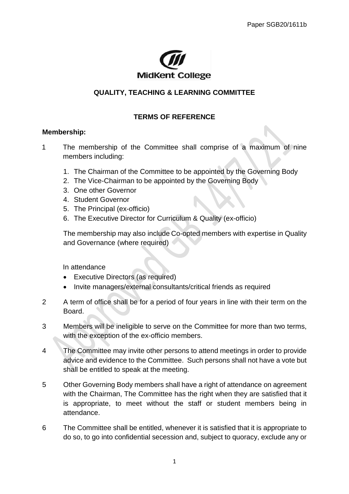

## **QUALITY, TEACHING & LEARNING COMMITTEE**

## **TERMS OF REFERENCE**

#### **Membership:**

- 1 The membership of the Committee shall comprise of a maximum of nine members including:
	- 1. The Chairman of the Committee to be appointed by the Governing Body
	- 2. The Vice-Chairman to be appointed by the Governing Body
	- 3. One other Governor
	- 4. Student Governor
	- 5. The Principal (ex-officio)
	- 6. The Executive Director for Curriculum & Quality (ex-officio)

The membership may also include Co-opted members with expertise in Quality and Governance (where required)

In attendance

- Executive Directors (as required)
- Invite managers/external consultants/critical friends as required
- 2 A term of office shall be for a period of four years in line with their term on the Board.
- 3 Members will be ineligible to serve on the Committee for more than two terms, with the exception of the ex-officio members.
- 4 The Committee may invite other persons to attend meetings in order to provide advice and evidence to the Committee. Such persons shall not have a vote but shall be entitled to speak at the meeting.
- 5 Other Governing Body members shall have a right of attendance on agreement with the Chairman, The Committee has the right when they are satisfied that it is appropriate, to meet without the staff or student members being in attendance.
- 6 The Committee shall be entitled, whenever it is satisfied that it is appropriate to do so, to go into confidential secession and, subject to quoracy, exclude any or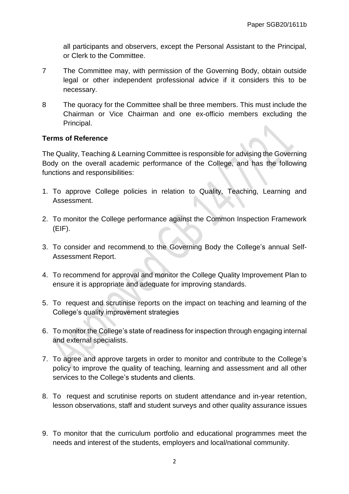all participants and observers, except the Personal Assistant to the Principal, or Clerk to the Committee.

- 7 The Committee may, with permission of the Governing Body, obtain outside legal or other independent professional advice if it considers this to be necessary.
- 8 The quoracy for the Committee shall be three members. This must include the Chairman or Vice Chairman and one ex-officio members excluding the Principal.

#### **Terms of Reference**

The Quality, Teaching & Learning Committee is responsible for advising the Governing Body on the overall academic performance of the College, and has the following functions and responsibilities:

- 1. To approve College policies in relation to Quality, Teaching, Learning and Assessment.
- 2. To monitor the College performance against the Common Inspection Framework (EIF).
- 3. To consider and recommend to the Governing Body the College's annual Self-Assessment Report.
- 4. To recommend for approval and monitor the College Quality Improvement Plan to ensure it is appropriate and adequate for improving standards.
- 5. To request and scrutinise reports on the impact on teaching and learning of the College's quality improvement strategies
- 6. To monitor the College's state of readiness for inspection through engaging internal and external specialists.
- 7. To agree and approve targets in order to monitor and contribute to the College's policy to improve the quality of teaching, learning and assessment and all other services to the College's students and clients.
- 8. To request and scrutinise reports on student attendance and in-year retention, lesson observations, staff and student surveys and other quality assurance issues
- 9. To monitor that the curriculum portfolio and educational programmes meet the needs and interest of the students, employers and local/national community.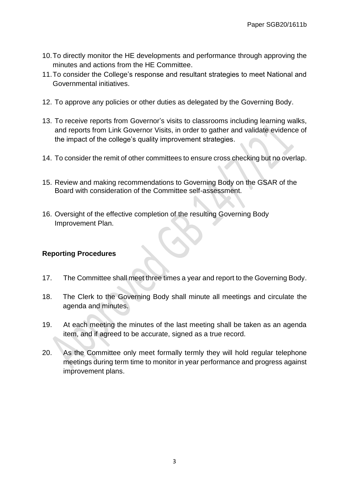- 10.To directly monitor the HE developments and performance through approving the minutes and actions from the HE Committee.
- 11.To consider the College's response and resultant strategies to meet National and Governmental initiatives.
- 12. To approve any policies or other duties as delegated by the Governing Body.
- 13. To receive reports from Governor's visits to classrooms including learning walks, and reports from Link Governor Visits, in order to gather and validate evidence of the impact of the college's quality improvement strategies.
- 14. To consider the remit of other committees to ensure cross checking but no overlap.
- 15. Review and making recommendations to Governing Body on the GSAR of the Board with consideration of the Committee self-assessment.
- 16. Oversight of the effective completion of the resulting Governing Body Improvement Plan.

### **Reporting Procedures**

- 17. The Committee shall meet three times a year and report to the Governing Body.
- 18. The Clerk to the Governing Body shall minute all meetings and circulate the agenda and minutes.
- 19. At each meeting the minutes of the last meeting shall be taken as an agenda item, and if agreed to be accurate, signed as a true record.
- 20. As the Committee only meet formally termly they will hold regular telephone meetings during term time to monitor in year performance and progress against improvement plans.